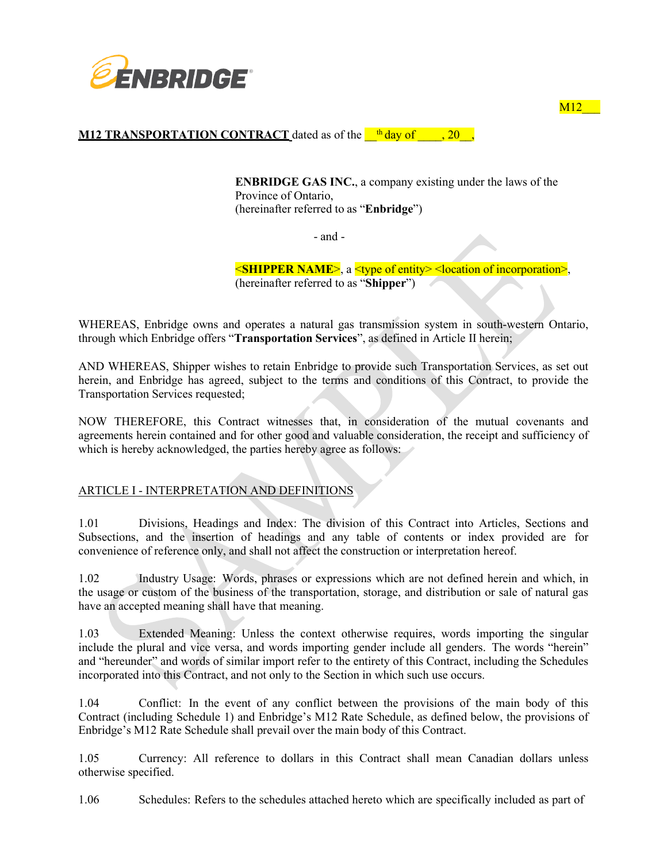

## **M12 TRANSPORTATION CONTRACT** dated as of the  $\frac{th}{day}$  of  $\frac{1}{20}$ ,

**ENBRIDGE GAS INC.**, a company existing under the laws of the Province of Ontario, (hereinafter referred to as "**Enbridge**")

 $M12$ 

- and -

<**SHIPPER NAME**>, a <type of entity> <location of incorporation>, (hereinafter referred to as "**Shipper**")

WHEREAS, Enbridge owns and operates a natural gas transmission system in south-western Ontario, through which Enbridge offers "**Transportation Services**", as defined in Article II herein;

AND WHEREAS, Shipper wishes to retain Enbridge to provide such Transportation Services, as set out herein, and Enbridge has agreed, subject to the terms and conditions of this Contract, to provide the Transportation Services requested;

NOW THEREFORE, this Contract witnesses that, in consideration of the mutual covenants and agreements herein contained and for other good and valuable consideration, the receipt and sufficiency of which is hereby acknowledged, the parties hereby agree as follows:

## ARTICLE I - INTERPRETATION AND DEFINITIONS

1.01 Divisions, Headings and Index: The division of this Contract into Articles, Sections and Subsections, and the insertion of headings and any table of contents or index provided are for convenience of reference only, and shall not affect the construction or interpretation hereof.

1.02 Industry Usage: Words, phrases or expressions which are not defined herein and which, in the usage or custom of the business of the transportation, storage, and distribution or sale of natural gas have an accepted meaning shall have that meaning.

1.03 Extended Meaning: Unless the context otherwise requires, words importing the singular include the plural and vice versa, and words importing gender include all genders. The words "herein" and "hereunder" and words of similar import refer to the entirety of this Contract, including the Schedules incorporated into this Contract, and not only to the Section in which such use occurs.

1.04 Conflict: In the event of any conflict between the provisions of the main body of this Contract (including Schedule 1) and Enbridge's M12 Rate Schedule, as defined below, the provisions of Enbridge's M12 Rate Schedule shall prevail over the main body of this Contract.

1.05 Currency: All reference to dollars in this Contract shall mean Canadian dollars unless otherwise specified.

1.06 Schedules: Refers to the schedules attached hereto which are specifically included as part of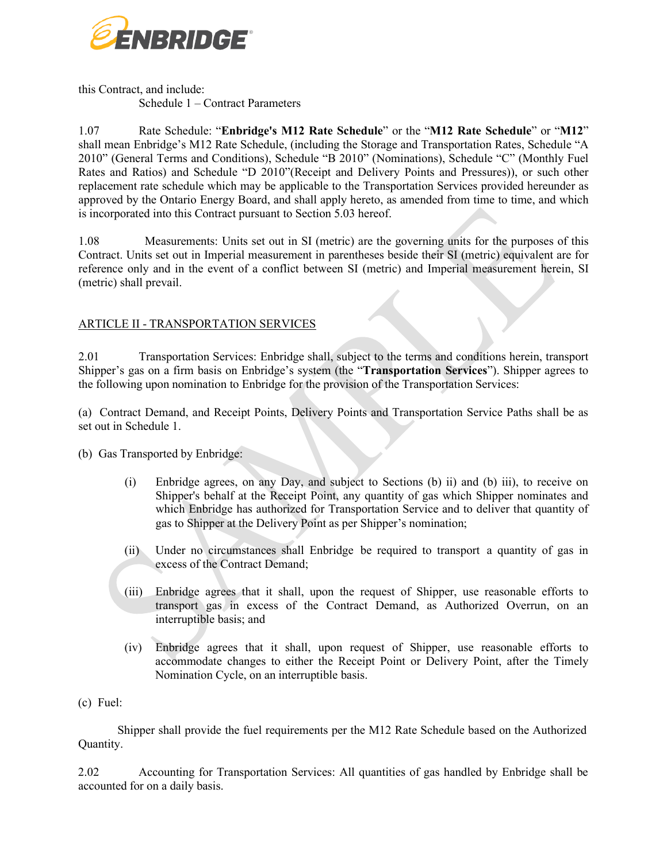

this Contract, and include: Schedule 1 – Contract Parameters

1.07 Rate Schedule: "**Enbridge's M12 Rate Schedule**" or the "**M12 Rate Schedule**" or "**M12**" shall mean Enbridge's M12 Rate Schedule, (including the Storage and Transportation Rates, Schedule "A 2010" (General Terms and Conditions), Schedule "B 2010" (Nominations), Schedule "C" (Monthly Fuel Rates and Ratios) and Schedule "D 2010"(Receipt and Delivery Points and Pressures)), or such other replacement rate schedule which may be applicable to the Transportation Services provided hereunder as approved by the Ontario Energy Board, and shall apply hereto, as amended from time to time, and which is incorporated into this Contract pursuant to Section 5.03 hereof.

1.08 Measurements: Units set out in SI (metric) are the governing units for the purposes of this Contract. Units set out in Imperial measurement in parentheses beside their SI (metric) equivalent are for reference only and in the event of a conflict between SI (metric) and Imperial measurement herein, SI (metric) shall prevail.

## ARTICLE II - TRANSPORTATION SERVICES

2.01 Transportation Services: Enbridge shall, subject to the terms and conditions herein, transport Shipper's gas on a firm basis on Enbridge's system (the "**Transportation Services**"). Shipper agrees to the following upon nomination to Enbridge for the provision of the Transportation Services:

(a) Contract Demand, and Receipt Points, Delivery Points and Transportation Service Paths shall be as set out in Schedule 1.

- (b) Gas Transported by Enbridge:
	- (i) Enbridge agrees, on any Day, and subject to Sections (b) ii) and (b) iii), to receive on Shipper's behalf at the Receipt Point, any quantity of gas which Shipper nominates and which Enbridge has authorized for Transportation Service and to deliver that quantity of gas to Shipper at the Delivery Point as per Shipper's nomination;
	- (ii) Under no circumstances shall Enbridge be required to transport a quantity of gas in excess of the Contract Demand;
	- (iii) Enbridge agrees that it shall, upon the request of Shipper, use reasonable efforts to transport gas in excess of the Contract Demand, as Authorized Overrun, on an interruptible basis; and
	- (iv) Enbridge agrees that it shall, upon request of Shipper, use reasonable efforts to accommodate changes to either the Receipt Point or Delivery Point, after the Timely Nomination Cycle, on an interruptible basis.
- (c) Fuel:

Shipper shall provide the fuel requirements per the M12 Rate Schedule based on the Authorized Quantity.

2.02 Accounting for Transportation Services: All quantities of gas handled by Enbridge shall be accounted for on a daily basis.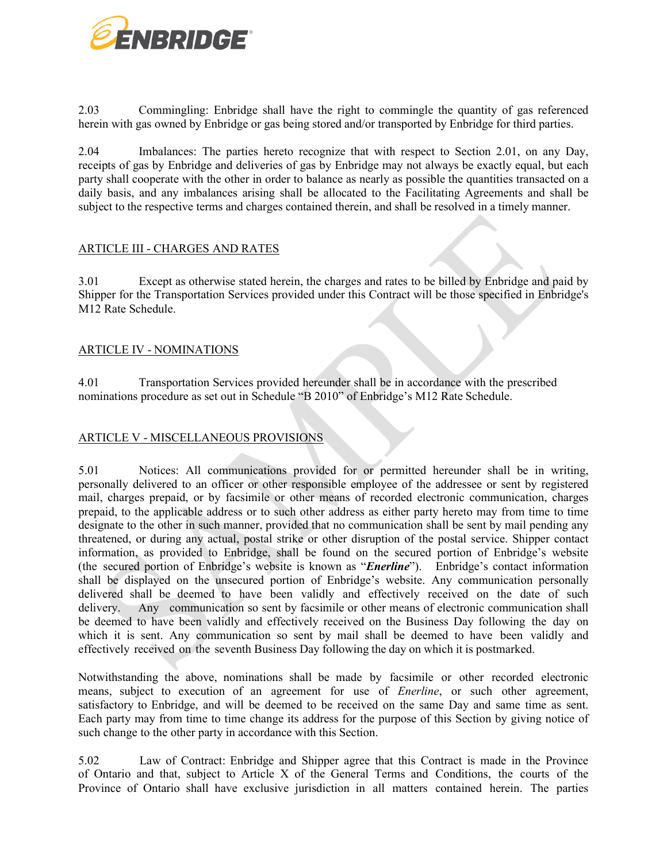

2.03 Commingling: Enbridge shall have the right to commingle the quantity of gas referenced herein with gas owned by Enbridge or gas being stored and/or transported by Enbridge for third parties.

2.04 Imbalances: The parties hereto recognize that with respect to Section 2.01, on any Day, receipts of gas by Enbridge and deliveries of gas by Enbridge may not always be exactly equal, but each party shall cooperate with the other in order to balance as nearly as possible the quantities transacted on a daily basis, and any imbalances arising shall be allocated to the Facilitating Agreements and shall be subject to the respective terms and charges contained therein, and shall be resolved in a timely manner.

# ARTICLE III - CHARGES AND RATES

3.01 Except as otherwise stated herein, the charges and rates to be billed by Enbridge and paid by Shipper for the Transportation Services provided under this Contract will be those specified in Enbridge's M12 Rate Schedule.

## ARTICLE IV - NOMINATIONS

4.01 Transportation Services provided hereunder shall be in accordance with the prescribed nominations procedure as set out in Schedule "B 2010" of Enbridge's M12 Rate Schedule.

### ARTICLE V - MISCELLANEOUS PROVISIONS

5.01 Notices: All communications provided for or permitted hereunder shall be in writing, personally delivered to an officer or other responsible employee of the addressee or sent by registered mail, charges prepaid, or by facsimile or other means of recorded electronic communication, charges prepaid, to the applicable address or to such other address as either party hereto may from time to time designate to the other in such manner, provided that no communication shall be sent by mail pending any threatened, or during any actual, postal strike or other disruption of the postal service. Shipper contact information, as provided to Enbridge, shall be found on the secured portion of Enbridge's website (the secured portion of Enbridge's website is known as "*Enerline*"). Enbridge's contact information shall be displayed on the unsecured portion of Enbridge's website. Any communication personally delivered shall be deemed to have been validly and effectively received on the date of such delivery. Any communication so sent by facsimile or other means of electronic communication shall be deemed to have been validly and effectively received on the Business Day following the day on which it is sent. Any communication so sent by mail shall be deemed to have been validly and effectively received on the seventh Business Day following the day on which it is postmarked.

Notwithstanding the above, nominations shall be made by facsimile or other recorded electronic means, subject to execution of an agreement for use of *Enerline*, or such other agreement, satisfactory to Enbridge, and will be deemed to be received on the same Day and same time as sent. Each party may from time to time change its address for the purpose of this Section by giving notice of such change to the other party in accordance with this Section.

5.02 Law of Contract: Enbridge and Shipper agree that this Contract is made in the Province of Ontario and that, subject to Article X of the General Terms and Conditions, the courts of the Province of Ontario shall have exclusive jurisdiction in all matters contained herein. The parties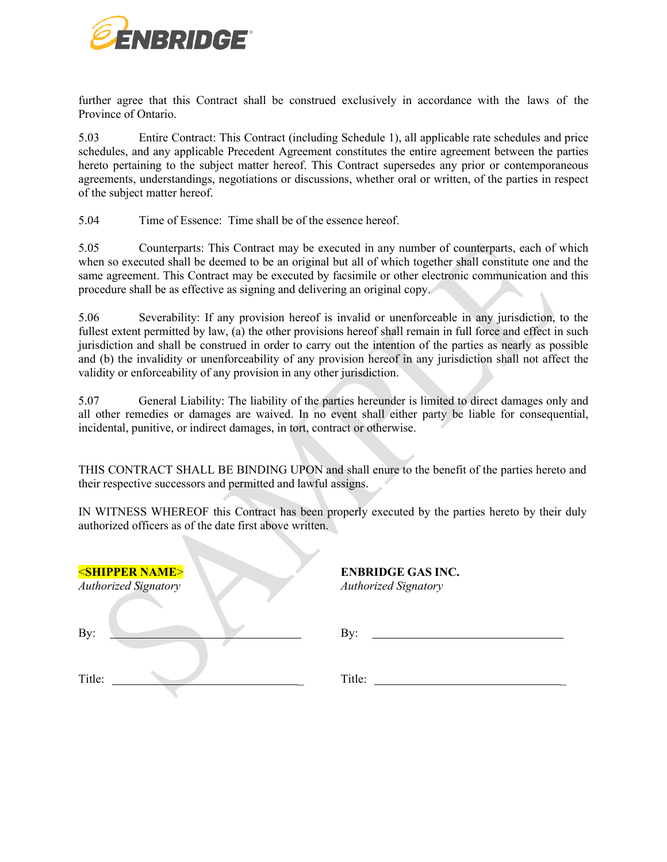

further agree that this Contract shall be construed exclusively in accordance with the laws of the Province of Ontario.

5.03 Entire Contract: This Contract (including Schedule 1), all applicable rate schedules and price schedules, and any applicable Precedent Agreement constitutes the entire agreement between the parties hereto pertaining to the subject matter hereof. This Contract supersedes any prior or contemporaneous agreements, understandings, negotiations or discussions, whether oral or written, of the parties in respect of the subject matter hereof.

5.04 Time of Essence: Time shall be of the essence hereof.

5.05 Counterparts: This Contract may be executed in any number of counterparts, each of which when so executed shall be deemed to be an original but all of which together shall constitute one and the same agreement. This Contract may be executed by facsimile or other electronic communication and this procedure shall be as effective as signing and delivering an original copy.

5.06 Severability: If any provision hereof is invalid or unenforceable in any jurisdiction, to the fullest extent permitted by law, (a) the other provisions hereof shall remain in full force and effect in such jurisdiction and shall be construed in order to carry out the intention of the parties as nearly as possible and (b) the invalidity or unenforceability of any provision hereof in any jurisdiction shall not affect the validity or enforceability of any provision in any other jurisdiction.

5.07 General Liability: The liability of the parties hereunder is limited to direct damages only and all other remedies or damages are waived. In no event shall either party be liable for consequential, incidental, punitive, or indirect damages, in tort, contract or otherwise.

THIS CONTRACT SHALL BE BINDING UPON and shall enure to the benefit of the parties hereto and their respective successors and permitted and lawful assigns.

IN WITNESS WHEREOF this Contract has been properly executed by the parties hereto by their duly authorized officers as of the date first above written.

| <b><shipper name=""></shipper></b><br><b>Authorized Signatory</b> | <b>ENBRIDGE GAS INC.</b><br><b>Authorized Signatory</b> |
|-------------------------------------------------------------------|---------------------------------------------------------|
| By:                                                               | By:                                                     |
| Title:                                                            | Title:                                                  |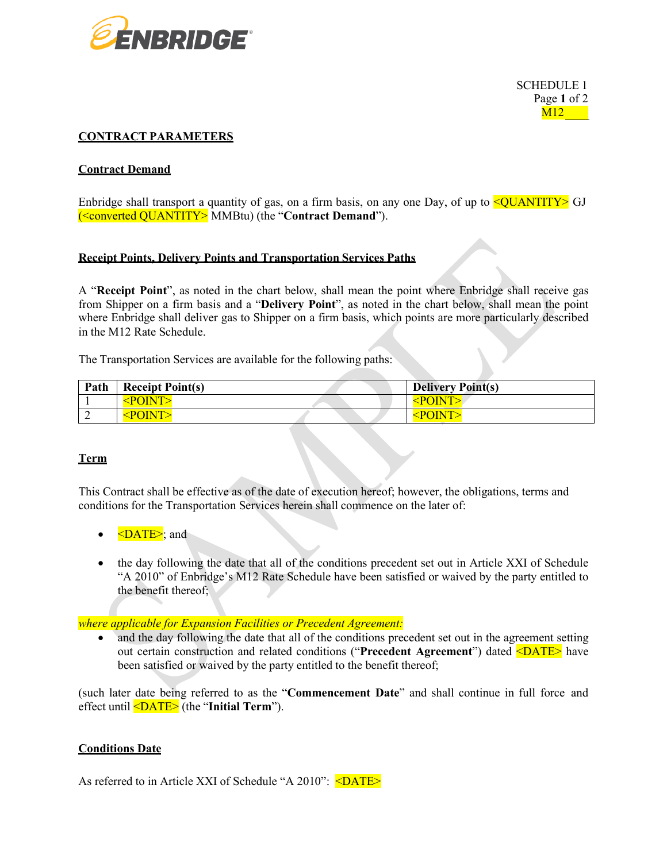

SCHEDULE 1 Page **1** of 2  $M12$ 

### **CONTRACT PARAMETERS**

#### **Contract Demand**

Enbridge shall transport a quantity of gas, on a firm basis, on any one Day, of up to  $\leq$ QUANTITY> GJ (<converted QUANTITY> MMBtu) (the "**Contract Demand**").

#### **Receipt Points, Delivery Points and Transportation Services Paths**

A "**Receipt Point**", as noted in the chart below, shall mean the point where Enbridge shall receive gas from Shipper on a firm basis and a "**Delivery Point**", as noted in the chart below, shall mean the point where Enbridge shall deliver gas to Shipper on a firm basis, which points are more particularly described in the M12 Rate Schedule.

The Transportation Services are available for the following paths:

| Path | <b>Receipt Point(s)</b> | <b>Delivery Point(s)</b> |
|------|-------------------------|--------------------------|
|      | $\leq$ POINT $>$        | $\leq$ POINT $>$         |
|      | $<$ POINT>              | <point></point>          |

## **Term**

This Contract shall be effective as of the date of execution hereof; however, the obligations, terms and conditions for the Transportation Services herein shall commence on the later of:

- $\bullet \quad \leq$ DATE $\geq$ ; and
- the day following the date that all of the conditions precedent set out in Article XXI of Schedule "A 2010" of Enbridge's M12 Rate Schedule have been satisfied or waived by the party entitled to the benefit thereof;

#### *where applicable for Expansion Facilities or Precedent Agreement:*

• and the day following the date that all of the conditions precedent set out in the agreement setting out certain construction and related conditions ("**Precedent Agreement**") dated <DATE> have been satisfied or waived by the party entitled to the benefit thereof;

(such later date being referred to as the "**Commencement Date**" and shall continue in full force and effect until <DATE> (the "**Initial Term**").

#### **Conditions Date**

As referred to in Article XXI of Schedule "A 2010": <DATE>